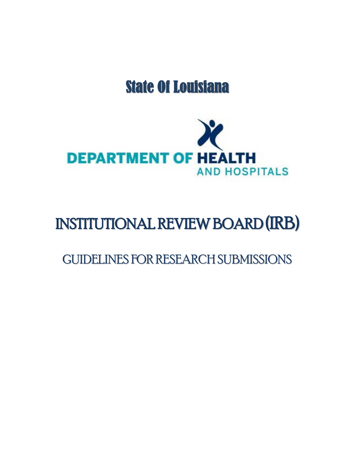# State Of Louisiana



# INSTITUTIONAL REVIEW BOARD(IRB)

# GUIDELINES FOR RESEARCH SUBMISSIONS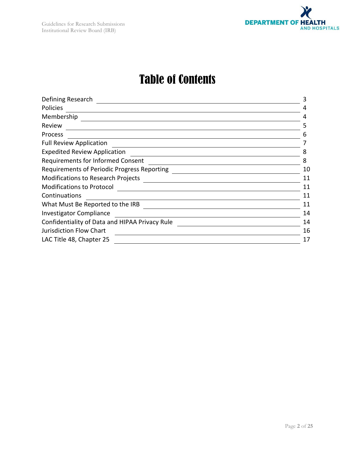

# Table of Contents

| Defining Research                              | 3  |
|------------------------------------------------|----|
| <b>Policies</b>                                | 4  |
| Membership                                     |    |
| Review                                         | 5. |
| Process                                        | 6  |
| <b>Full Review Application</b>                 |    |
| <b>Expedited Review Application</b>            | 8  |
| <b>Requirements for Informed Consent</b>       | 8  |
| Requirements of Periodic Progress Reporting    | 10 |
| <b>Modifications to Research Projects</b>      | 11 |
| <b>Modifications to Protocol</b>               | 11 |
| Continuations                                  | 11 |
| What Must Be Reported to the IRB               | 11 |
| <b>Investigator Compliance</b>                 | 14 |
| Confidentiality of Data and HIPAA Privacy Rule | 14 |
| <b>Jurisdiction Flow Chart</b>                 | 16 |
| LAC Title 48, Chapter 25                       | 17 |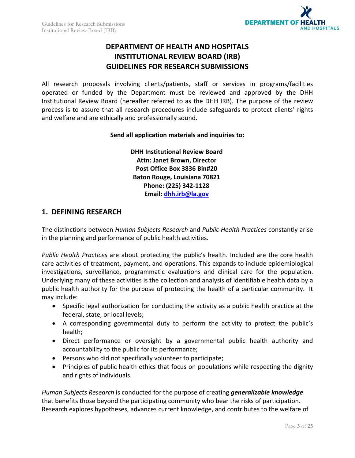

## **DEPARTMENT OF HEALTH AND HOSPITALS INSTITUTIONAL REVIEW BOARD (IRB) GUIDELINES FOR RESEARCH SUBMISSIONS**

All research proposals involving clients/patients, staff or services in programs/facilities operated or funded by the Department must be reviewed and approved by the DHH Institutional Review Board (hereafter referred to as the DHH IRB). The purpose of the review process is to assure that all research procedures include safeguards to protect clients' rights and welfare and are ethically and professionally sound.

#### **Send all application materials and inquiries to:**

**DHH Institutional Review Board Attn: Janet Brown, Director Post Office Box 3836 Bin#20 Baton Rouge, Louisiana 70821 Phone: (225) 342-1128 Email: [dhh.irb@la.gov](mailto:dhh.irb@la.gov)**

#### **1. DEFINING RESEARCH**

The distinctions between *Human Subjects Research* and *Public Health Practices* constantly arise in the planning and performance of public health activities.

*Public Health Practices* are about protecting the public's health. Included are the core health care activities of treatment, payment, and operations. This expands to include epidemiological investigations, surveillance, programmatic evaluations and clinical care for the population. Underlying many of these activities is the collection and analysis of identifiable health data by a public health authority for the purpose of protecting the health of a particular community. It may include:

- Specific legal authorization for conducting the activity as a public health practice at the federal, state, or local levels;
- A corresponding governmental duty to perform the activity to protect the public's health;
- Direct performance or oversight by a governmental public health authority and accountability to the public for its performance;
- Persons who did not specifically volunteer to participate;
- Principles of public health ethics that focus on populations while respecting the dignity and rights of individuals.

*Human Subjects Research* is conducted for the purpose of creating *generalizable knowledge* that benefits those beyond the participating community who bear the risks of participation. Research explores hypotheses, advances current knowledge, and contributes to the welfare of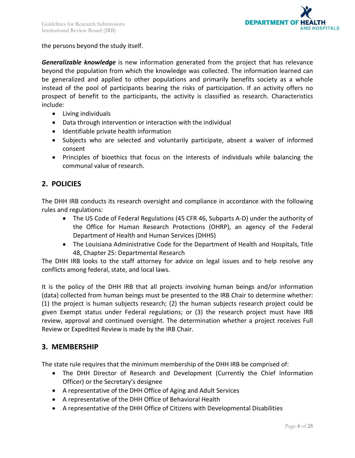

the persons beyond the study itself.

*Generalizable knowledge* is new information generated from the project that has relevance beyond the population from which the knowledge was collected. The information learned can be generalized and applied to other populations and primarily benefits society as a whole instead of the pool of participants bearing the risks of participation. If an activity offers no prospect of benefit to the participants, the activity is classified as research. Characteristics include:

- Living individuals
- Data through intervention or interaction with the individual
- Identifiable private health information
- Subjects who are selected and voluntarily participate, absent a waiver of informed consent
- Principles of bioethics that focus on the interests of individuals while balancing the communal value of research.

### **2. POLICIES**

The DHH IRB conducts its research oversight and compliance in accordance with the following rules and regulations:

- The US Code of Federal Regulations (45 CFR 46, Subparts A-D) under the authority of the Office for Human Research Protections (OHRP), an agency of the Federal Department of Health and Human Services (DHHS)
- The Louisiana Administrative Code for the Department of Health and Hospitals, Title 48, Chapter 25: Departmental Research

The DHH IRB looks to the staff attorney for advice on legal issues and to help resolve any conflicts among federal, state, and local laws.

It is the policy of the DHH IRB that all projects involving human beings and/or information (data) collected from human beings must be presented to the IRB Chair to determine whether: (1) the project is human subjects research; (2) the human subjects research project could be given Exempt status under Federal regulations; or (3) the research project must have IRB review, approval and continued oversight. The determination whether a project receives Full Review or Expedited Review is made by the IRB Chair.

#### **3. MEMBERSHIP**

The state rule requires that the minimum membership of the DHH IRB be comprised of:

- The DHH Director of Research and Development (Currently the Chief Information Officer) or the Secretary's designee
- A representative of the DHH Office of Aging and Adult Services
- A representative of the DHH Office of Behavioral Health
- A representative of the DHH Office of Citizens with Developmental Disabilities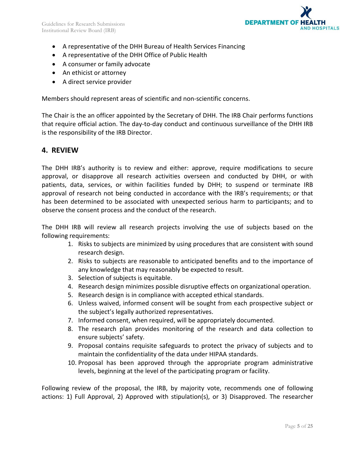

- A representative of the DHH Bureau of Health Services Financing
- A representative of the DHH Office of Public Health
- A consumer or family advocate
- An ethicist or attorney
- A direct service provider

Members should represent areas of scientific and non-scientific concerns.

The Chair is the an officer appointed by the Secretary of DHH. The IRB Chair performs functions that require official action. The day-to-day conduct and continuous surveillance of the DHH IRB is the responsibility of the IRB Director.

#### **4. REVIEW**

The DHH IRB's authority is to review and either: approve, require modifications to secure approval, or disapprove all research activities overseen and conducted by DHH, or with patients, data, services, or within facilities funded by DHH; to suspend or terminate IRB approval of research not being conducted in accordance with the IRB's requirements; or that has been determined to be associated with unexpected serious harm to participants; and to observe the consent process and the conduct of the research.

The DHH IRB will review all research projects involving the use of subjects based on the following requirements:

- 1. Risks to subjects are minimized by using procedures that are consistent with sound research design.
- 2. Risks to subjects are reasonable to anticipated benefits and to the importance of any knowledge that may reasonably be expected to result.
- 3. Selection of subjects is equitable.
- 4. Research design minimizes possible disruptive effects on organizational operation.
- 5. Research design is in compliance with accepted ethical standards.
- 6. Unless waived, informed consent will be sought from each prospective subject or the subject's legally authorized representatives.
- 7. Informed consent, when required, will be appropriately documented.
- 8. The research plan provides monitoring of the research and data collection to ensure subjects' safety.
- 9. Proposal contains requisite safeguards to protect the privacy of subjects and to maintain the confidentiality of the data under HIPAA standards.
- 10. Proposal has been approved through the appropriate program administrative levels, beginning at the level of the participating program or facility.

Following review of the proposal, the IRB, by majority vote, recommends one of following actions: 1) Full Approval, 2) Approved with stipulation(s), or 3) Disapproved. The researcher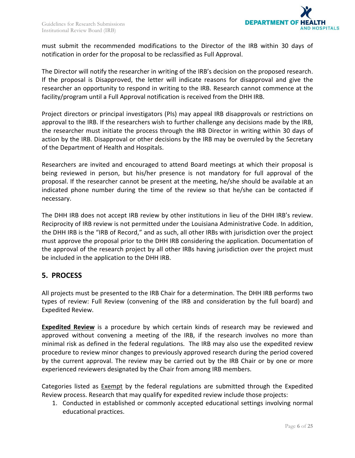

must submit the recommended modifications to the Director of the IRB within 30 days of notification in order for the proposal to be reclassified as Full Approval.

The Director will notify the researcher in writing of the IRB's decision on the proposed research. If the proposal is Disapproved, the letter will indicate reasons for disapproval and give the researcher an opportunity to respond in writing to the IRB. Research cannot commence at the facility/program until a Full Approval notification is received from the DHH IRB.

Project directors or principal investigators (PIs) may appeal IRB disapprovals or restrictions on approval to the IRB. If the researchers wish to further challenge any decisions made by the IRB, the researcher must initiate the process through the IRB Director in writing within 30 days of action by the IRB. Disapproval or other decisions by the IRB may be overruled by the Secretary of the Department of Health and Hospitals.

Researchers are invited and encouraged to attend Board meetings at which their proposal is being reviewed in person, but his/her presence is not mandatory for full approval of the proposal. If the researcher cannot be present at the meeting, he/she should be available at an indicated phone number during the time of the review so that he/she can be contacted if necessary.

The DHH IRB does not accept IRB review by other institutions in lieu of the DHH IRB's review. Reciprocity of IRB review is not permitted under the Louisiana Administrative Code. In addition, the DHH IRB is the "IRB of Record," and as such, all other IRBs with jurisdiction over the project must approve the proposal prior to the DHH IRB considering the application. Documentation of the approval of the research project by all other IRBs having jurisdiction over the project must be included in the application to the DHH IRB.

#### **5. PROCESS**

All projects must be presented to the IRB Chair for a determination. The DHH IRB performs two types of review: Full Review (convening of the IRB and consideration by the full board) and Expedited Review.

**Expedited Review** is a procedure by which certain kinds of research may be reviewed and approved without convening a meeting of the IRB, if the research involves no more than minimal risk as defined in the federal regulations. The IRB may also use the expedited review procedure to review minor changes to previously approved research during the period covered by the current approval. The review may be carried out by the IRB Chair or by one or more experienced reviewers designated by the Chair from among IRB members.

Categories listed as **Exempt** by the federal regulations are submitted through the Expedited Review process. Research that may qualify for expedited review include those projects:

1. Conducted in established or commonly accepted educational settings involving normal educational practices.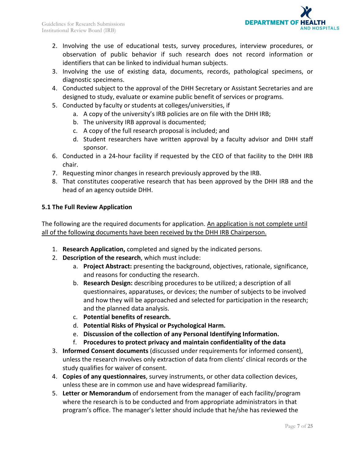

- 2. Involving the use of educational tests, survey procedures, interview procedures, or observation of public behavior if such research does not record information or identifiers that can be linked to individual human subjects.
- 3. Involving the use of existing data, documents, records, pathological specimens, or diagnostic specimens.
- 4. Conducted subject to the approval of the DHH Secretary or Assistant Secretaries and are designed to study, evaluate or examine public benefit of services or programs.
- 5. Conducted by faculty or students at colleges/universities, if
	- a. A copy of the university's IRB policies are on file with the DHH IRB;
	- b. The university IRB approval is documented;
	- c. A copy of the full research proposal is included; and
	- d. Student researchers have written approval by a faculty advisor and DHH staff sponsor.
- 6. Conducted in a 24-hour facility if requested by the CEO of that facility to the DHH IRB chair.
- 7. Requesting minor changes in research previously approved by the IRB.
- 8. That constitutes cooperative research that has been approved by the DHH IRB and the head of an agency outside DHH.

#### **5.1 The Full Review Application**

The following are the required documents for application. An application is not complete until all of the following documents have been received by the DHH IRB Chairperson.

- 1. **Research Application,** completed and signed by the indicated persons.
- 2. **Description of the research**, which must include:
	- a. **Project Abstract:** presenting the background, objectives, rationale, significance, and reasons for conducting the research.
	- b. **Research Design:** describing procedures to be utilized; a description of all questionnaires, apparatuses, or devices; the number of subjects to be involved and how they will be approached and selected for participation in the research; and the planned data analysis.
	- c. **Potential benefits of research.**
	- d. **Potential Risks of Physical or Psychological Harm.**
	- e. **Discussion of the collection of any Personal Identifying Information.**
	- f. **Procedures to protect privacy and maintain confidentiality of the data**
- 3. **Informed Consent documents** (discussed under requirements for informed consent), unless the research involves only extraction of data from clients' clinical records or the study qualifies for waiver of consent.
- 4. **Copies of any questionnaires**, survey instruments, or other data collection devices, unless these are in common use and have widespread familiarity.
- 5. **Letter or Memorandum** of endorsement from the manager of each facility/program where the research is to be conducted and from appropriate administrators in that program's office. The manager's letter should include that he/she has reviewed the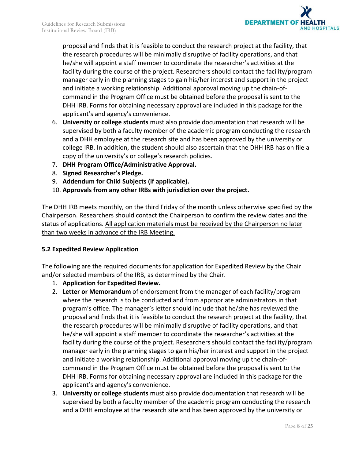

proposal and finds that it is feasible to conduct the research project at the facility, that the research procedures will be minimally disruptive of facility operations, and that he/she will appoint a staff member to coordinate the researcher's activities at the facility during the course of the project. Researchers should contact the facility/program manager early in the planning stages to gain his/her interest and support in the project and initiate a working relationship. Additional approval moving up the chain-ofcommand in the Program Office must be obtained before the proposal is sent to the DHH IRB. Forms for obtaining necessary approval are included in this package for the applicant's and agency's convenience.

- 6. **University or college students** must also provide documentation that research will be supervised by both a faculty member of the academic program conducting the research and a DHH employee at the research site and has been approved by the university or college IRB. In addition, the student should also ascertain that the DHH IRB has on file a copy of the university's or college's research policies.
- 7. **DHH Program Office/Administrative Approval.**
- 8. **Signed Researcher's Pledge.**
- 9. **Addendum for Child Subjects (if applicable).**
- 10. **Approvals from any other IRBs with jurisdiction over the project.**

The DHH IRB meets monthly, on the third Friday of the month unless otherwise specified by the Chairperson. Researchers should contact the Chairperson to confirm the review dates and the status of applications. All application materials must be received by the Chairperson no later than two weeks in advance of the IRB Meeting.

#### **5.2 Expedited Review Application**

The following are the required documents for application for Expedited Review by the Chair and/or selected members of the IRB, as determined by the Chair.

- 1. **Application for Expedited Review.**
- 2. **Letter or Memorandum** of endorsement from the manager of each facility/program where the research is to be conducted and from appropriate administrators in that program's office. The manager's letter should include that he/she has reviewed the proposal and finds that it is feasible to conduct the research project at the facility, that the research procedures will be minimally disruptive of facility operations, and that he/she will appoint a staff member to coordinate the researcher's activities at the facility during the course of the project. Researchers should contact the facility/program manager early in the planning stages to gain his/her interest and support in the project and initiate a working relationship. Additional approval moving up the chain-ofcommand in the Program Office must be obtained before the proposal is sent to the DHH IRB. Forms for obtaining necessary approval are included in this package for the applicant's and agency's convenience.
- 3. **University or college students** must also provide documentation that research will be supervised by both a faculty member of the academic program conducting the research and a DHH employee at the research site and has been approved by the university or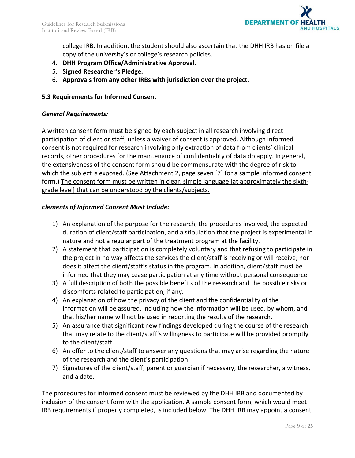

college IRB. In addition, the student should also ascertain that the DHH IRB has on file a copy of the university's or college's research policies.

- 4. **DHH Program Office/Administrative Approval.**
- 5. **Signed Researcher's Pledge.**
- 6. **Approvals from any other IRBs with jurisdiction over the project.**

#### **5.3 Requirements for Informed Consent**

#### *General Requirements:*

A written consent form must be signed by each subject in all research involving direct participation of client or staff, unless a waiver of consent is approved. Although informed consent is not required for research involving only extraction of data from clients' clinical records, other procedures for the maintenance of confidentiality of data do apply. In general, the extensiveness of the consent form should be commensurate with the degree of risk to which the subject is exposed. (See Attachment 2, page seven [7] for a sample informed consent form.) The consent form must be written in clear, simple language [at approximately the sixthgrade level] that can be understood by the clients/subjects.

#### *Elements of Informed Consent Must Include:*

- 1) An explanation of the purpose for the research, the procedures involved, the expected duration of client/staff participation, and a stipulation that the project is experimental in nature and not a regular part of the treatment program at the facility.
- 2) A statement that participation is completely voluntary and that refusing to participate in the project in no way affects the services the client/staff is receiving or will receive; nor does it affect the client/staff's status in the program. In addition, client/staff must be informed that they may cease participation at any time without personal consequence.
- 3) A full description of both the possible benefits of the research and the possible risks or discomforts related to participation, if any.
- 4) An explanation of how the privacy of the client and the confidentiality of the information will be assured, including how the information will be used, by whom, and that his/her name will not be used in reporting the results of the research.
- 5) An assurance that significant new findings developed during the course of the research that may relate to the client/staff's willingness to participate will be provided promptly to the client/staff.
- 6) An offer to the client/staff to answer any questions that may arise regarding the nature of the research and the client's participation.
- 7) Signatures of the client/staff, parent or guardian if necessary, the researcher, a witness, and a date.

The procedures for informed consent must be reviewed by the DHH IRB and documented by inclusion of the consent form with the application. A sample consent form, which would meet IRB requirements if properly completed, is included below. The DHH IRB may appoint a consent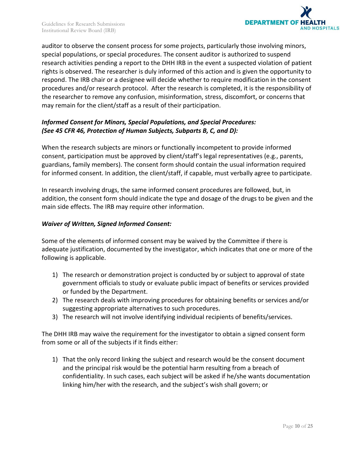

auditor to observe the consent process for some projects, particularly those involving minors, special populations, or special procedures. The consent auditor is authorized to suspend research activities pending a report to the DHH IRB in the event a suspected violation of patient rights is observed. The researcher is duly informed of this action and is given the opportunity to respond. The IRB chair or a designee will decide whether to require modification in the consent procedures and/or research protocol. After the research is completed, it is the responsibility of the researcher to remove any confusion, misinformation, stress, discomfort, or concerns that may remain for the client/staff as a result of their participation.

#### *Informed Consent for Minors, Special Populations, and Special Procedures: (See 45 CFR 46, Protection of Human Subjects, Subparts B, C, and D):*

When the research subjects are minors or functionally incompetent to provide informed consent, participation must be approved by client/staff's legal representatives (e.g., parents, guardians, family members). The consent form should contain the usual information required for informed consent. In addition, the client/staff, if capable, must verbally agree to participate.

In research involving drugs, the same informed consent procedures are followed, but, in addition, the consent form should indicate the type and dosage of the drugs to be given and the main side effects. The IRB may require other information.

#### *Waiver of Written, Signed Informed Consent:*

Some of the elements of informed consent may be waived by the Committee if there is adequate justification, documented by the investigator, which indicates that one or more of the following is applicable.

- 1) The research or demonstration project is conducted by or subject to approval of state government officials to study or evaluate public impact of benefits or services provided or funded by the Department.
- 2) The research deals with improving procedures for obtaining benefits or services and/or suggesting appropriate alternatives to such procedures.
- 3) The research will not involve identifying individual recipients of benefits/services.

The DHH IRB may waive the requirement for the investigator to obtain a signed consent form from some or all of the subjects if it finds either:

1) That the only record linking the subject and research would be the consent document and the principal risk would be the potential harm resulting from a breach of confidentiality. In such cases, each subject will be asked if he/she wants documentation linking him/her with the research, and the subject's wish shall govern; or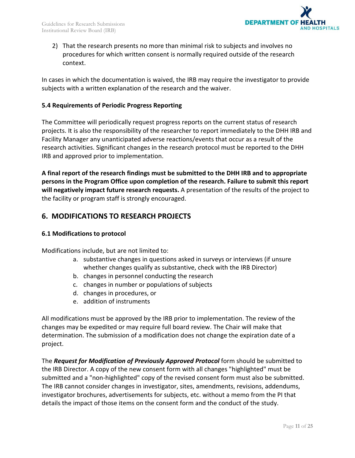

2) That the research presents no more than minimal risk to subjects and involves no procedures for which written consent is normally required outside of the research context.

In cases in which the documentation is waived, the IRB may require the investigator to provide subjects with a written explanation of the research and the waiver.

#### **5.4 Requirements of Periodic Progress Reporting**

The Committee will periodically request progress reports on the current status of research projects. It is also the responsibility of the researcher to report immediately to the DHH IRB and Facility Manager any unanticipated adverse reactions/events that occur as a result of the research activities. Significant changes in the research protocol must be reported to the DHH IRB and approved prior to implementation.

**A final report of the research findings must be submitted to the DHH IRB and to appropriate persons in the Program Office upon completion of the research. Failure to submit this report will negatively impact future research requests.** A presentation of the results of the project to the facility or program staff is strongly encouraged.

#### **6. MODIFICATIONS TO RESEARCH PROJECTS**

#### **6.1 Modifications to protocol**

Modifications include, but are not limited to:

- a. substantive changes in questions asked in surveys or interviews (if unsure whether changes qualify as substantive, check with the IRB Director)
- b. changes in personnel conducting the research
- c. changes in number or populations of subjects
- d. changes in procedures, or
- e. addition of instruments

All modifications must be approved by the IRB prior to implementation. The review of the changes may be expedited or may require full board review. The Chair will make that determination. The submission of a modification does not change the expiration date of a project.

The *Request for Modification of Previously Approved Protocol* form should be submitted to the IRB Director. A copy of the new consent form with all changes "highlighted" must be submitted and a "non-highlighted" copy of the revised consent form must also be submitted. The IRB cannot consider changes in investigator, sites, amendments, revisions, addendums, investigator brochures, advertisements for subjects, etc. without a memo from the PI that details the impact of those items on the consent form and the conduct of the study.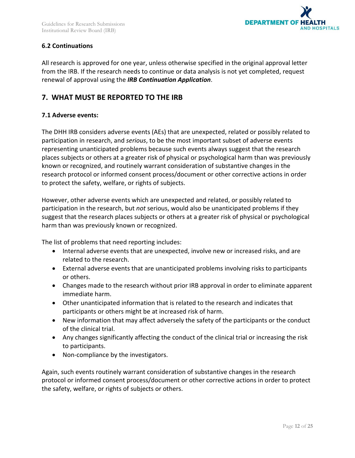

#### **6.2 Continuations**

All research is approved for one year, unless otherwise specified in the original approval letter from the IRB. If the research needs to continue or data analysis is not yet completed, request renewal of approval using the *IRB Continuation Application*.

## **7. WHAT MUST BE REPORTED TO THE IRB**

#### **7.1 Adverse events:**

The DHH IRB considers adverse events (AEs) that are unexpected, related or possibly related to participation in research, and *serious*, to be the most important subset of adverse events representing unanticipated problems because such events always suggest that the research places subjects or others at a greater risk of physical or psychological harm than was previously known or recognized, and routinely warrant consideration of substantive changes in the research protocol or informed consent process/document or other corrective actions in order to protect the safety, welfare, or rights of subjects.

However, other adverse events which are unexpected and related, or possibly related to participation in the research, but *not* serious, would also be unanticipated problems if they suggest that the research places subjects or others at a greater risk of physical or psychological harm than was previously known or recognized.

The list of problems that need reporting includes:

- Internal adverse events that are unexpected, involve new or increased risks, and are related to the research.
- External adverse events that are unanticipated problems involving risks to participants or others.
- Changes made to the research without prior IRB approval in order to eliminate apparent immediate harm.
- Other unanticipated information that is related to the research and indicates that participants or others might be at increased risk of harm.
- New information that may affect adversely the safety of the participants or the conduct of the clinical trial.
- Any changes significantly affecting the conduct of the clinical trial or increasing the risk to participants.
- Non-compliance by the investigators.

Again, such events routinely warrant consideration of substantive changes in the research protocol or informed consent process/document or other corrective actions in order to protect the safety, welfare, or rights of subjects or others.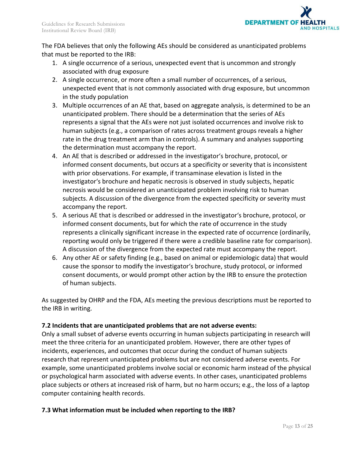

The FDA believes that only the following AEs should be considered as unanticipated problems that must be reported to the IRB:

- 1. A single occurrence of a serious, unexpected event that is uncommon and strongly associated with drug exposure
- 2. A single occurrence, or more often a small number of occurrences, of a serious, unexpected event that is not commonly associated with drug exposure, but uncommon in the study population
- 3. Multiple occurrences of an AE that, based on aggregate analysis, is determined to be an unanticipated problem. There should be a determination that the series of AEs represents a signal that the AEs were not just isolated occurrences and involve risk to human subjects (e.g., a comparison of rates across treatment groups reveals a higher rate in the drug treatment arm than in controls). A summary and analyses supporting the determination must accompany the report.
- 4. An AE that is described or addressed in the investigator's brochure, protocol, or informed consent documents, but occurs at a specificity or severity that is inconsistent with prior observations. For example, if transaminase elevation is listed in the investigator's brochure and hepatic necrosis is observed in study subjects, hepatic necrosis would be considered an unanticipated problem involving risk to human subjects. A discussion of the divergence from the expected specificity or severity must accompany the report.
- 5. A serious AE that is described or addressed in the investigator's brochure, protocol, or informed consent documents, but for which the rate of occurrence in the study represents a clinically significant increase in the expected rate of occurrence (ordinarily, reporting would only be triggered if there were a credible baseline rate for comparison). A discussion of the divergence from the expected rate must accompany the report.
- 6. Any other AE or safety finding (e.g., based on animal or epidemiologic data) that would cause the sponsor to modify the investigator's brochure, study protocol, or informed consent documents, or would prompt other action by the IRB to ensure the protection of human subjects.

As suggested by OHRP and the FDA, AEs meeting the previous descriptions must be reported to the IRB in writing.

#### **7.2 Incidents that are unanticipated problems that are not adverse events:**

Only a small subset of adverse events occurring in human subjects participating in research will meet the three criteria for an unanticipated problem. However, there are other types of incidents, experiences, and outcomes that occur during the conduct of human subjects research that represent unanticipated problems but are not considered adverse events. For example, some unanticipated problems involve social or economic harm instead of the physical or psychological harm associated with adverse events. In other cases, unanticipated problems place subjects or others at increased risk of harm, but no harm occurs; e.g., the loss of a laptop computer containing health records.

#### **7.3 What information must be included when reporting to the IRB?**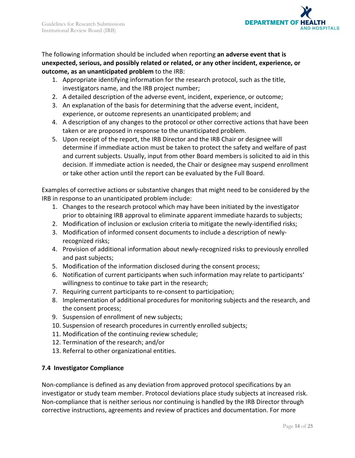

The following information should be included when reporting **an adverse event that is unexpected, serious, and possibly related or related, or any other incident, experience, or outcome, as an unanticipated problem** to the IRB:

- 1. Appropriate identifying information for the research protocol, such as the title, investigators name, and the IRB project number;
- 2. A detailed description of the adverse event, incident, experience, or outcome;
- 3. An explanation of the basis for determining that the adverse event, incident, experience, or outcome represents an unanticipated problem; and
- 4. A description of any changes to the protocol or other corrective actions that have been taken or are proposed in response to the unanticipated problem.
- 5. Upon receipt of the report, the IRB Director and the IRB Chair or designee will determine if immediate action must be taken to protect the safety and welfare of past and current subjects. Usually, input from other Board members is solicited to aid in this decision. If immediate action is needed, the Chair or designee may suspend enrollment or take other action until the report can be evaluated by the Full Board.

Examples of corrective actions or substantive changes that might need to be considered by the IRB in response to an unanticipated problem include:

- 1. Changes to the research protocol which may have been initiated by the investigator prior to obtaining IRB approval to eliminate apparent immediate hazards to subjects;
- 2. Modification of inclusion or exclusion criteria to mitigate the newly-identified risks;
- 3. Modification of informed consent documents to include a description of newlyrecognized risks;
- 4. Provision of additional information about newly-recognized risks to previously enrolled and past subjects;
- 5. Modification of the information disclosed during the consent process;
- 6. Notification of current participants when such information may relate to participants' willingness to continue to take part in the research;
- 7. Requiring current participants to re-consent to participation;
- 8. Implementation of additional procedures for monitoring subjects and the research, and the consent process;
- 9. Suspension of enrollment of new subjects;
- 10. Suspension of research procedures in currently enrolled subjects;
- 11. Modification of the continuing review schedule;
- 12. Termination of the research; and/or
- 13. Referral to other organizational entities.

#### **7.4 Investigator Compliance**

Non-compliance is defined as any deviation from approved protocol specifications by an investigator or study team member. Protocol deviations place study subjects at increased risk. Non-compliance that is neither serious nor continuing is handled by the IRB Director through corrective instructions, agreements and review of practices and documentation. For more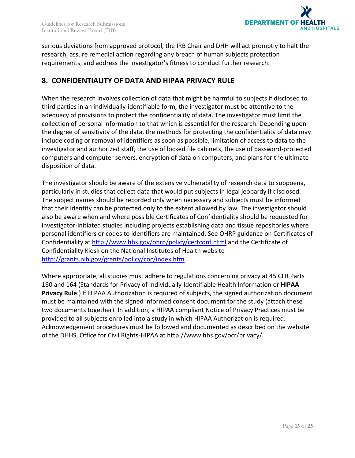

serious deviations from approved protocol, the IRB Chair and DHH will act promptly to halt the research, assure remedial action regarding any breach of human subjects protection requirements, and address the investigator's fitness to conduct further research.

## **8. CONFIDENTIALITY OF DATA AND HIPAA PRIVACY RULE**

When the research involves collection of data that might be harmful to subjects if disclosed to third parties in an individually-identifiable form, the investigator must be attentive to the adequacy of provisions to protect the confidentiality of data. The investigator must limit the collection of personal information to that which is essential for the research. Depending upon the degree of sensitivity of the data, the methods for protecting the confidentiality of data may include coding or removal of identifiers as soon as possible, limitation of access to data to the investigator and authorized staff, the use of locked file cabinets, the use of password-protected computers and computer servers, encryption of data on computers, and plans for the ultimate disposition of data.

The investigator should be aware of the extensive vulnerability of research data to subpoena, particularly in studies that collect data that would put subjects in legal jeopardy if disclosed. The subject names should be recorded only when necessary and subjects must be informed that their identity can be protected only to the extent allowed by law. The investigator should also be aware when and where possible Certificates of Confidentiality should be requested for investigator-initiated studies including projects establishing data and tissue repositories where personal identifiers or codes to identifiers are maintained. See OHRP guidance on Certificates of Confidentiality a[t http://www.hhs.gov/ohrp/policy/certconf.html](http://www.hhs.gov/ohrp/policy/certconf.html) and the Certificate of Confidentiality Kiosk on the National Institutes of Health website [http://grants.nih.gov/grants/policy/coc/index.htm.](http://grants.nih.gov/grants/policy/coc/index.htm)

Where appropriate, all studies must adhere to regulations concerning privacy at 45 CFR Parts 160 and 164 (Standards for Privacy of Individually-Identifiable Health Information or **HIPAA Privacy Rule**.) If HIPAA Authorization is required of subjects, the signed authorization document must be maintained with the signed informed consent document for the study (attach these two documents together). In addition, a HIPAA compliant Notice of Privacy Practices must be provided to all subjects enrolled into a study in which HIPAA Authorization is required. Acknowledgement procedures must be followed and documented as described on the website of the DHHS, Office for Civil Rights-HIPAA at http://www.hhs.gov/ocr/privacy/.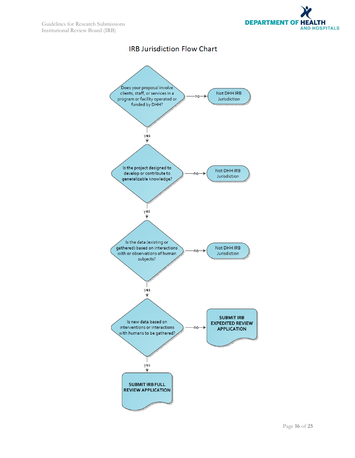# **IRB Jurisdiction Flow Chart**

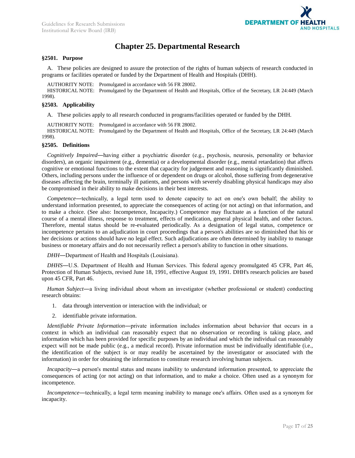

#### **Chapter 25. Departmental Research**

#### **§2501. Purpose**

A. These policies are designed to assure the protection of the rights of human subjects of research conducted in programs or facilities operated or funded by the Department of Health and Hospitals (DHH).

AUTHORITY NOTE: Promulgated in accordance with 56 FR 28002. HISTORICAL NOTE: Promulgated by the Department of Health and Hospitals, Office of the Secretary, LR 24:449 (March 1998).

#### **§2503. Applicability**

A. These policies apply to all research conducted in programs/facilities operated or funded by the DHH.

AUTHORITY NOTE: Promulgated in accordance with 56 FR 28002. HISTORICAL NOTE: Promulgated by the Department of Health and Hospitals, Office of the Secretary, LR 24:449 (March 1998).

#### **§2505. Definitions**

*Cognitively Impaired*―having either a psychiatric disorder (e.g., psychosis, neurosis, personality or behavior disorders), an organic impairment (e.g., dementia) or a developmental disorder (e.g., mental retardation) that affects cognitive or emotional functions to the extent that capacity for judgement and reasoning is significantly diminished. Others, including persons under the influence of or dependent on drugs or alcohol, those suffering from degenerative diseases affecting the brain, terminally ill patients, and persons with severely disabling physical handicaps may also be compromised in their ability to make decisions in their best interests.

*Competence*―technically, a legal term used to denote capacity to act on one's own behalf; the ability to understand information presented, to appreciate the consequences of acting (or not acting) on that information, and to make a choice. (See also: Incompetence, Incapacity.) Competence may fluctuate as a function of the natural course of a mental illness, response to treatment, effects of medication, general physical health, and other factors. Therefore, mental status should be re-evaluated periodically. As a designation of legal status, competence or incompetence pertains to an adjudication in court proceedings that a person's abilities are so diminished that his or her decisions or actions should have no legal effect. Such adjudications are often determined by inability to manage business or monetary affairs and do not necessarily reflect a person's ability to function in other situations.

*DHH*―Department of Health and Hospitals (Louisiana).

*DHHS*―U.S. Department of Health and Human Services. This federal agency promulgated 45 CFR, Part 46, Protection of Human Subjects, revised June 18, 1991, effective August 19, 1991. DHH's research policies are based upon 45 CFR, Part 46.

*Human Subject*―a living individual about whom an investigator (whether professional or student) conducting research obtains:

- 1. data through intervention or interaction with the individual; or
- 2. identifiable private information.

*Identifiable Private Information*―private information includes information about behavior that occurs in a context in which an individual can reasonably expect that no observation or recording is taking place, and information which has been provided for specific purposes by an individual and which the individual can reasonably expect will not be made public (e.g., a medical record). Private information must be individually identifiable (i.e., the identification of the subject is or may readily be ascertained by the investigator or associated with the information) in order for obtaining the information to constitute research involving human subjects.

*Incapacity*―a person's mental status and means inability to understand information presented, to appreciate the consequences of acting (or not acting) on that information, and to make a choice. Often used as a synonym for incompetence.

*Incompetence*―technically, a legal term meaning inability to manage one's affairs. Often used as a synonym for incapacity.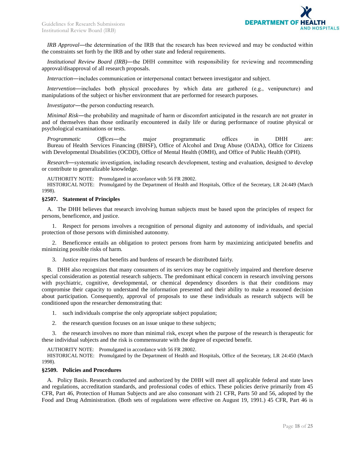

*IRB Approval*―the determination of the IRB that the research has been reviewed and may be conducted within the constraints set forth by the IRB and by other state and federal requirements.

*Institutional Review Board (IRB)—the DHH committee with responsibility for reviewing and recommending* approval/disapproval of all research proposals.

*Interaction*―includes communication or interpersonal contact between investigator and subject.

*Intervention*―includes both physical procedures by which data are gathered (e.g., venipuncture) and manipulations of the subject or his/her environment that are performed for research purposes.

*Investigator*―the person conducting research.

*Minimal Risk*—the probability and magnitude of harm or discomfort anticipated in the research are not greater in and of themselves than those ordinarily encountered in daily life or during performance of routine physical or psychological examinations or tests.

*Programmatic Offices*―the major programmatic offices in DHH are: Bureau of Health Services Financing (BHSF), Office of Alcohol and Drug Abuse (OADA), Office for Citizens with Developmental Disabilities (OCDD), Office of Mental Health (OMH), and Office of Public Health (OPH).

*Research*―systematic investigation, including research development, testing and evaluation, designed to develop or contribute to generalizable knowledge.

AUTHORITY NOTE: Promulgated in accordance with 56 FR 28002.

HISTORICAL NOTE: Promulgated by the Department of Health and Hospitals, Office of the Secretary, LR 24:449 (March 1998).

#### **§2507. Statement of Principles**

A. The DHH believes that research involving human subjects must be based upon the principles of respect for persons, beneficence, and justice.

1. Respect for persons involves a recognition of personal dignity and autonomy of individuals, and special protection of those persons with diminished autonomy.

2. Beneficence entails an obligation to protect persons from harm by maximizing anticipated benefits and minimizing possible risks of harm.

3. Justice requires that benefits and burdens of research be distributed fairly.

B. DHH also recognizes that many consumers of its services may be cognitively impaired and therefore deserve special consideration as potential research subjects. The predominant ethical concern in research involving persons with psychiatric, cognitive, developmental, or chemical dependency disorders is that their conditions may compromise their capacity to understand the information presented and their ability to make a reasoned decision about participation. Consequently, approval of proposals to use these individuals as research subjects will be conditioned upon the researcher demonstrating that:

1. such individuals comprise the only appropriate subject population;

2. the research question focuses on an issue unique to these subjects;

3. the research involves no more than minimal risk, except when the purpose of the research is therapeutic for these individual subjects and the risk is commensurate with the degree of expected benefit.

AUTHORITY NOTE: Promulgated in accordance with 56 FR 28002.

HISTORICAL NOTE: Promulgated by the Department of Health and Hospitals, Office of the Secretary, LR 24:450 (March 1998).

#### **§2509. Policies and Procedures**

A. Policy Basis. Research conducted and authorized by the DHH will meet all applicable federal and state laws and regulations, accreditation standards, and professional codes of ethics. These policies derive primarily from 45 CFR, Part 46, Protection of Human Subjects and are also consonant with 21 CFR, Parts 50 and 56, adopted by the Food and Drug Administration. (Both sets of regulations were effective on August 19, 1991.) 45 CFR, Part 46 is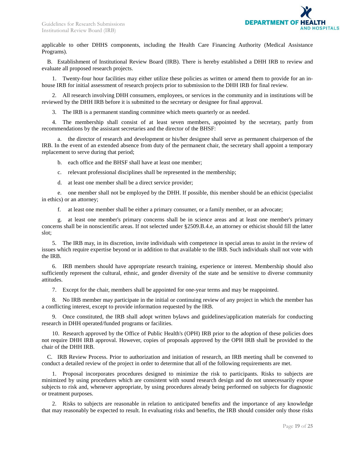

applicable to other DHHS components, including the Health Care Financing Authority (Medical Assistance Programs).

B. Establishment of Institutional Review Board (IRB). There is hereby established a DHH IRB to review and evaluate all proposed research projects.

1. Twenty-four hour facilities may either utilize these policies as written or amend them to provide for an inhouse IRB for initial assessment of research projects prior to submission to the DHH IRB for final review.

2. All research involving DHH consumers, employees, or services in the community and in institutions will be reviewed by the DHH IRB before it is submitted to the secretary or designee for final approval.

3. The IRB is a permanent standing committee which meets quarterly or as needed.

4. The membership shall consist of at least seven members, appointed by the secretary, partly from recommendations by the assistant secretaries and the director of the BHSF:

a. the director of research and development or his/her designee shall serve as permanent chairperson of the IRB. In the event of an extended absence from duty of the permanent chair, the secretary shall appoint a temporary replacement to serve during that period;

b. each office and the BHSF shall have at least one member;

c. relevant professional disciplines shall be represented in the membership;

d. at least one member shall be a direct service provider;

e. one member shall not be employed by the DHH. If possible, this member should be an ethicist (specialist in ethics) or an attorney;

f. at least one member shall be either a primary consumer, or a family member, or an advocate;

g. at least one member's primary concerns shall be in science areas and at least one member's primary concerns shall be in nonscientific areas. If not selected under §2509.B.4.e, an attorney or ethicist should fill the latter slot;

5. The IRB may, in its discretion, invite individuals with competence in special areas to assist in the review of issues which require expertise beyond or in addition to that available to the IRB. Such individuals shall not vote with the IRB.

6. IRB members should have appropriate research training, experience or interest. Membership should also sufficiently represent the cultural, ethnic, and gender diversity of the state and be sensitive to diverse community attitudes.

7. Except for the chair, members shall be appointed for one-year terms and may be reappointed.

8. No IRB member may participate in the initial or continuing review of any project in which the member has a conflicting interest, except to provide information requested by the IRB.

9. Once constituted, the IRB shall adopt written bylaws and guidelines/application materials for conducting research in DHH operated/funded programs or facilities.

10. Research approved by the Office of Public Health's (OPH) IRB prior to the adoption of these policies does not require DHH IRB approval. However, copies of proposals approved by the OPH IRB shall be provided to the chair of the DHH IRB.

C. IRB Review Process. Prior to authorization and initiation of research, an IRB meeting shall be convened to conduct a detailed review of the project in order to determine that all of the following requirements are met.

1. Proposal incorporates procedures designed to minimize the risk to participants. Risks to subjects are minimized by using procedures which are consistent with sound research design and do not unnecessarily expose subjects to risk and, whenever appropriate, by using procedures already being performed on subjects for diagnostic or treatment purposes.

2. Risks to subjects are reasonable in relation to anticipated benefits and the importance of any knowledge that may reasonably be expected to result. In evaluating risks and benefits, the IRB should consider only those risks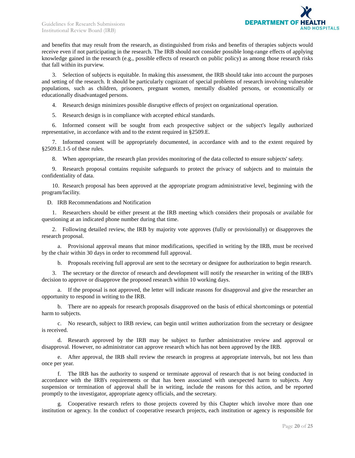

and benefits that may result from the research, as distinguished from risks and benefits of therapies subjects would receive even if not participating in the research. The IRB should not consider possible long-range effects of applying knowledge gained in the research (e.g., possible effects of research on public policy) as among those research risks that fall within its purview.

3. Selection of subjects is equitable. In making this assessment, the IRB should take into account the purposes and setting of the research. It should be particularly cognizant of special problems of research involving vulnerable populations, such as children, prisoners, pregnant women, mentally disabled persons, or economically or educationally disadvantaged persons.

4. Research design minimizes possible disruptive effects of project on organizational operation.

5. Research design is in compliance with accepted ethical standards.

6. Informed consent will be sought from each prospective subject or the subject's legally authorized representative, in accordance with and to the extent required in §2509.E.

7. Informed consent will be appropriately documented, in accordance with and to the extent required by §2509.E.1-5 of these rules.

8. When appropriate, the research plan provides monitoring of the data collected to ensure subjects' safety.

9. Research proposal contains requisite safeguards to protect the privacy of subjects and to maintain the confidentiality of data.

10. Research proposal has been approved at the appropriate program administrative level, beginning with the program/facility.

D. IRB Recommendations and Notification

1. Researchers should be either present at the IRB meeting which considers their proposals or available for questioning at an indicated phone number during that time.

2. Following detailed review, the IRB by majority vote approves (fully or provisionally) or disapproves the research proposal.

a. Provisional approval means that minor modifications, specified in writing by the IRB, must be received by the chair within 30 days in order to recommend full approval.

b. Proposals receiving full approval are sent to the secretary or designee for authorization to begin research.

3. The secretary or the director of research and development will notify the researcher in writing of the IRB's decision to approve or disapprove the proposed research within 10 working days.

a. If the proposal is not approved, the letter will indicate reasons for disapproval and give the researcher an opportunity to respond in writing to the IRB.

b. There are no appeals for research proposals disapproved on the basis of ethical shortcomings or potential harm to subjects.

c. No research, subject to IRB review, can begin until written authorization from the secretary or designee is received.

d. Research approved by the IRB may be subject to further administrative review and approval or disapproval. However, no administrator can approve research which has not been approved by the IRB.

e. After approval, the IRB shall review the research in progress at appropriate intervals, but not less than once per year.

f. The IRB has the authority to suspend or terminate approval of research that is not being conducted in accordance with the IRB's requirements or that has been associated with unexpected harm to subjects. Any suspension or termination of approval shall be in writing, include the reasons for this action, and be reported promptly to the investigator, appropriate agency officials, and the secretary.

g. Cooperative research refers to those projects covered by this Chapter which involve more than one institution or agency. In the conduct of cooperative research projects, each institution or agency is responsible for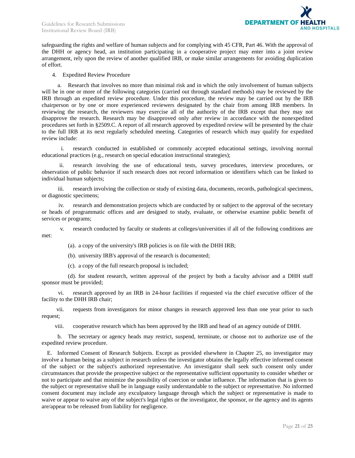

safeguarding the rights and welfare of human subjects and for complying with 45 CFR, Part 46. With the approval of the DHH or agency head, an institution participating in a cooperative project may enter into a joint review arrangement, rely upon the review of another qualified IRB, or make similar arrangements for avoiding duplication of effort.

4. Expedited Review Procedure

a. Research that involves no more than minimal risk and in which the only involvement of human subjects will be in one or more of the following categories (carried out through standard methods) may be reviewed by the IRB through an expedited review procedure. Under this procedure, the review may be carried out by the IRB chairperson or by one or more experienced reviewers designated by the chair from among IRB members. In reviewing the research, the reviewers may exercise all of the authority of the IRB except that they may not disapprove the research. Research may be disapproved only after review in accordance with the nonexpedited procedures set forth in §2509.C. A report of all research approved by expedited review will be presented by the chair to the full IRB at its next regularly scheduled meeting. Categories of research which may qualify for expedited review include:

i. research conducted in established or commonly accepted educational settings, involving normal educational practices (e.g., research on special education instructional strategies);

ii. research involving the use of educational tests, survey procedures, interview procedures, or observation of public behavior if such research does not record information or identifiers which can be linked to individual human subjects;

iii. research involving the collection or study of existing data, documents, records, pathological specimens, or diagnostic specimens;

iv. research and demonstration projects which are conducted by or subject to the approval of the secretary or heads of programmatic offices and are designed to study, evaluate, or otherwise examine public benefit of services or programs;

v. research conducted by faculty or students at colleges/universities if all of the following conditions are met:

(a). a copy of the university's IRB policies is on file with the DHH IRB;

(b). university IRB's approval of the research is documented;

(c). a copy of the full research proposal is included;

(d). for student research, written approval of the project by both a faculty advisor and a DHH staff sponsor must be provided;

vi. research approved by an IRB in 24-hour facilities if requested via the chief executive officer of the facility to the DHH IRB chair;

vii. requests from investigators for minor changes in research approved less than one year prior to such request;

viii. cooperative research which has been approved by the IRB and head of an agency outside of DHH.

b. The secretary or agency heads may restrict, suspend, terminate, or choose not to authorize use of the expedited review procedure.

E. Informed Consent of Research Subjects. Except as provided elsewhere in Chapter 25, no investigator may involve a human being as a subject in research unless the investigator obtains the legally effective informed consent of the subject or the subject's authorized representative. An investigator shall seek such consent only under circumstances that provide the prospective subject or the representative sufficient opportunity to consider whether or not to participate and that minimize the possibility of coercion or undue influence. The information that is given to the subject or representative shall be in language easily understandable to the subject or representative. No informed consent document may include any exculpatory language through which the subject or representative is made to waive or appear to waive any of the subject's legal rights or the investigator, the sponsor, or the agency and its agents are/appear to be released from liability for negligence.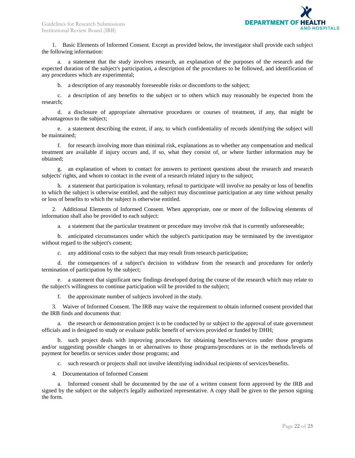

1. Basic Elements of Informed Consent. Except as provided below, the investigator shall provide each subject the following information:

a. a statement that the study involves research, an explanation of the purposes of the research and the expected duration of the subject's participation, a description of the procedures to be followed, and identification of any procedures which are experimental;

b. a description of any reasonably foreseeable risks or discomforts to the subject;

c. a description of any benefits to the subject or to others which may reasonably be expected from the research;

d. a disclosure of appropriate alternative procedures or courses of treatment, if any, that might be advantageous to the subject;

e. a statement describing the extent, if any, to which confidentiality of records identifying the subject will be maintained;

f. for research involving more than minimal risk, explanations as to whether any compensation and medical treatment are available if injury occurs and, if so, what they consist of, or where further information may be obtained;

g. an explanation of whom to contact for answers to pertinent questions about the research and research subjects' rights, and whom to contact in the event of a research related injury to the subject;

h. a statement that participation is voluntary, refusal to participate will involve no penalty or loss of benefits to which the subject is otherwise entitled, and the subject may discontinue participation at any time without penalty or loss of benefits to which the subject is otherwise entitled.

2. Additional Elements of Informed Consent. When appropriate, one or more of the following elements of information shall also be provided to each subject:

a. a statement that the particular treatment or procedure may involve risk that is currently unforeseeable;

b. anticipated circumstances under which the subject's participation may be terminated by the investigator without regard to the subject's consent;

c. any additional costs to the subject that may result from research participation;

d. the consequences of a subject's decision to withdraw from the research and procedures for orderly termination of participation by the subject;

e. a statement that significant new findings developed during the course of the research which may relate to the subject's willingness to continue participation will be provided to the subject;

f. the approximate number of subjects involved in the study.

3. Waiver of Informed Consent. The IRB may waive the requirement to obtain informed consent provided that the IRB finds and documents that:

a. the research or demonstration project is to be conducted by or subject to the approval of state government officials and is designed to study or evaluate public benefit of services provided or funded by DHH;

b. such project deals with improving procedures for obtaining benefits/services under those programs and/or suggesting possible changes in or alternatives to those programs/procedures or in the methods/levels of payment for benefits or services under those programs; and

c. such research or projects shall not involve identifying individual recipients of services/benefits.

4. Documentation of Informed Consent

a. Informed consent shall be documented by the use of a written consent form approved by the IRB and signed by the subject or the subject's legally authorized representative. A copy shall be given to the person signing the form.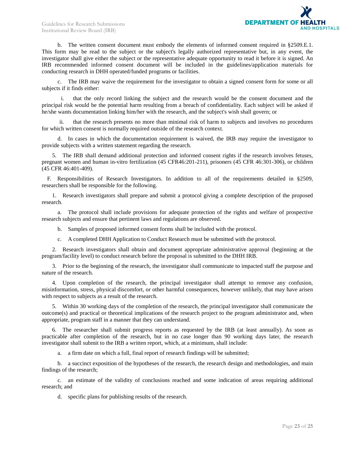

b. The written consent document must embody the elements of informed consent required in §2509.E.1. This form may be read to the subject or the subject's legally authorized representative but, in any event, the investigator shall give either the subject or the representative adequate opportunity to read it before it is signed. An IRB recommended informed consent document will be included in the guidelines/application materials for conducting research in DHH operated/funded programs or facilities.

c. The IRB may waive the requirement for the investigator to obtain a signed consent form for some or all subjects if it finds either:

i. that the only record linking the subject and the research would be the consent document and the principal risk would be the potential harm resulting from a breach of confidentiality. Each subject will be asked if he/she wants documentation linking him/her with the research, and the subject's wish shall govern; or

that the research presents no more than minimal risk of harm to subjects and involves no procedures for which written consent is normally required outside of the research context.

d. In cases in which the documentation requirement is waived, the IRB may require the investigator to provide subjects with a written statement regarding the research.

5. The IRB shall demand additional protection and informed consent rights if the research involves fetuses, pregnant women and human in-vitro fertilization (45 CFR46:201-211), prisoners (45 CFR 46:301-306), or children (45 CFR 46:401-409).

F. Responsibilities of Research Investigators. In addition to all of the requirements detailed in §2509, researchers shall be responsible for the following.

1. Research investigators shall prepare and submit a protocol giving a complete description of the proposed research.

a. The protocol shall include provisions for adequate protection of the rights and welfare of prospective research subjects and ensure that pertinent laws and regulations are observed.

b. Samples of proposed informed consent forms shall be included with the protocol.

c. A completed DHH Application to Conduct Research must be submitted with the protocol.

2. Research investigators shall obtain and document appropriate administrative approval (beginning at the program/facility level) to conduct research before the proposal is submitted to the DHH IRB.

3. Prior to the beginning of the research, the investigator shall communicate to impacted staff the purpose and nature of the research.

4. Upon completion of the research, the principal investigator shall attempt to remove any confusion, misinformation, stress, physical discomfort, or other harmful consequences, however unlikely, that may have arisen with respect to subjects as a result of the research.

5. Within 30 working days of the completion of the research, the principal investigator shall communicate the outcome(s) and practical or theoretical implications of the research project to the program administrator and, when appropriate, program staff in a manner that they can understand.

6. The researcher shall submit progress reports as requested by the IRB (at least annually). As soon as practicable after completion of the research, but in no case longer than 90 working days later, the research investigator shall submit to the IRB a written report, which, at a minimum, shall include:

a. a firm date on which a full, final report of research findings will be submitted;

b. a succinct exposition of the hypotheses of the research, the research design and methodologies, and main findings of the research;

c. an estimate of the validity of conclusions reached and some indication of areas requiring additional research; and

d. specific plans for publishing results of the research.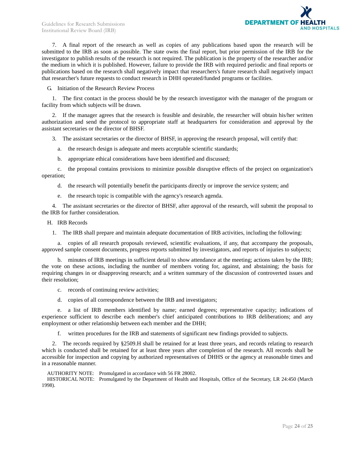

7. A final report of the research as well as copies of any publications based upon the research will be submitted to the IRB as soon as possible. The state owns the final report, but prior permission of the IRB for the investigator to publish results of the research is not required. The publication is the property of the researcher and/or the medium in which it is published. However, failure to provide the IRB with required periodic and final reports or publications based on the research shall negatively impact that researchers's future research shall negatively impact that researcher's future requests to conduct research in DHH operated/funded programs or facilities.

G. Initiation of the Research Review Process

1. The first contact in the process should be by the research investigator with the manager of the program or facility from which subjects will be drawn.

2. If the manager agrees that the research is feasible and desirable, the researcher will obtain his/her written authorization and send the protocol to appropriate staff at headquarters for consideration and approval by the assistant secretaries or the director of BHSF.

3. The assistant secretaries or the director of BHSF, in approving the research proposal, will certify that:

a. the research design is adequate and meets acceptable scientific standards;

b. appropriate ethical considerations have been identified and discussed;

c. the proposal contains provisions to minimize possible disruptive effects of the project on organization's operation;

d. the research will potentially benefit the participants directly or improve the service system; and

e. the research topic is compatible with the agency's research agenda.

4. The assistant secretaries or the director of BHSF, after approval of the research, will submit the proposal to the IRB for further consideration.

H. IRB Records

1. The IRB shall prepare and maintain adequate documentation of IRB activities, including the following:

a. copies of all research proposals reviewed, scientific evaluations, if any, that accompany the proposals, approved sample consent documents, progress reports submitted by investigators, and reports of injuries to subjects;

b. minutes of IRB meetings in sufficient detail to show attendance at the meeting; actions taken by the IRB; the vote on these actions, including the number of members voting for, against, and abstaining; the basis for requiring changes in or disapproving research; and a written summary of the discussion of controverted issues and their resolution;

- c. records of continuing review activities;
- d. copies of all correspondence between the IRB and investigators;

e. a list of IRB members identified by name; earned degrees; representative capacity; indications of experience sufficient to describe each member's chief anticipated contributions to IRB deliberations; and any employment or other relationship between each member and the DHH;

f. written procedures for the IRB and statements of significant new findings provided to subjects.

2. The records required by §2509.H shall be retained for at least three years, and records relating to research which is conducted shall be retained for at least three years after completion of the research. All records shall be accessible for inspection and copying by authorized representatives of DHHS or the agency at reasonable times and in a reasonable manner.

AUTHORITY NOTE: Promulgated in accordance with 56 FR 28002.

HISTORICAL NOTE: Promulgated by the Department of Health and Hospitals, Office of the Secretary, LR 24:450 (March 1998).